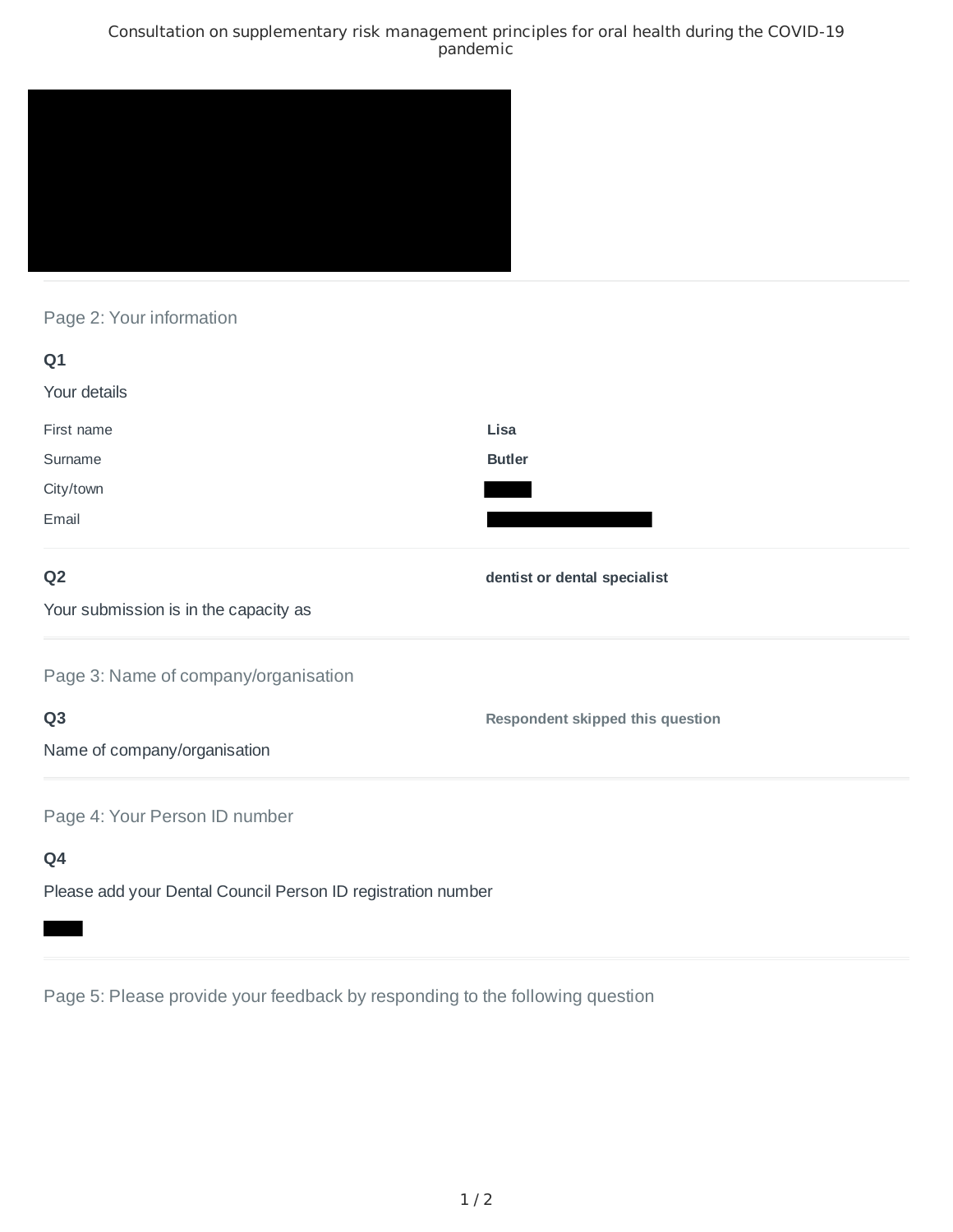### Consultation on supplementary risk management principles for oral health during the COVID-19 pandemic



# Page 2: Your information

| Q1                                                           |                                         |
|--------------------------------------------------------------|-----------------------------------------|
| Your details                                                 |                                         |
| First name                                                   | Lisa                                    |
| Surname                                                      | <b>Butler</b>                           |
| City/town                                                    |                                         |
| Email                                                        |                                         |
| Q <sub>2</sub>                                               | dentist or dental specialist            |
| Your submission is in the capacity as                        |                                         |
| Page 3: Name of company/organisation                         |                                         |
| Q <sub>3</sub>                                               | <b>Respondent skipped this question</b> |
| Name of company/organisation                                 |                                         |
| Page 4: Your Person ID number                                |                                         |
| Q4                                                           |                                         |
| Please add your Dental Council Person ID registration number |                                         |

Page 5: Please provide your feedback by responding to the following question